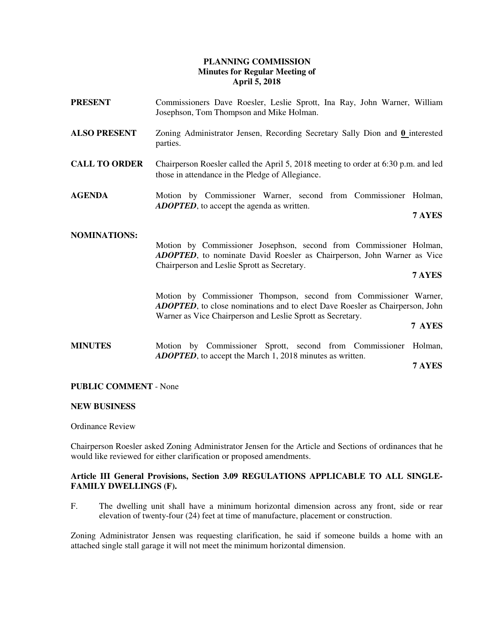# **PLANNING COMMISSION Minutes for Regular Meeting of April 5, 2018**

- **PRESENT** Commissioners Dave Roesler, Leslie Sprott, Ina Ray, John Warner, William Josephson, Tom Thompson and Mike Holman. **ALSO PRESENT** Zoning Administrator Jensen, Recording Secretary Sally Dion and **0** interested parties. **CALL TO ORDER** Chairperson Roesler called the April 5, 2018 meeting to order at 6:30 p.m. and led those in attendance in the Pledge of Allegiance. **AGENDA** Motion by Commissioner Warner, second from Commissioner Holman, *ADOPTED*, to accept the agenda as written. **7 AYES NOMINATIONS:** Motion by Commissioner Josephson, second from Commissioner Holman, *ADOPTED*, to nominate David Roesler as Chairperson, John Warner as Vice Chairperson and Leslie Sprott as Secretary. **7 AYES** Motion by Commissioner Thompson, second from Commissioner Warner, *ADOPTED*, to close nominations and to elect Dave Roesler as Chairperson, John Warner as Vice Chairperson and Leslie Sprott as Secretary. **7 AYES**
- **MINUTES** Motion by Commissioner Sprott, second from Commissioner Holman, *ADOPTED*, to accept the March 1, 2018 minutes as written.

**7 AYES**

## **PUBLIC COMMENT** - None

### **NEW BUSINESS**

Ordinance Review

Chairperson Roesler asked Zoning Administrator Jensen for the Article and Sections of ordinances that he would like reviewed for either clarification or proposed amendments.

## **Article III General Provisions, Section 3.09 REGULATIONS APPLICABLE TO ALL SINGLE-FAMILY DWELLINGS (F).**

F. The dwelling unit shall have a minimum horizontal dimension across any front, side or rear elevation of twenty-four (24) feet at time of manufacture, placement or construction.

Zoning Administrator Jensen was requesting clarification, he said if someone builds a home with an attached single stall garage it will not meet the minimum horizontal dimension.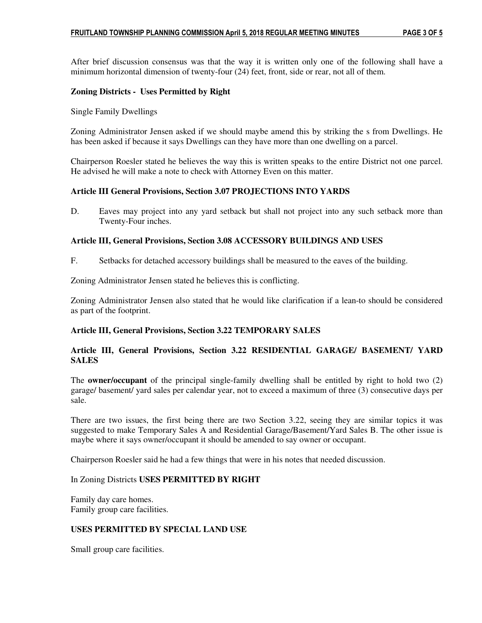After brief discussion consensus was that the way it is written only one of the following shall have a minimum horizontal dimension of twenty-four (24) feet, front, side or rear, not all of them.

## **Zoning Districts - Uses Permitted by Right**

Single Family Dwellings

Zoning Administrator Jensen asked if we should maybe amend this by striking the s from Dwellings. He has been asked if because it says Dwellings can they have more than one dwelling on a parcel.

Chairperson Roesler stated he believes the way this is written speaks to the entire District not one parcel. He advised he will make a note to check with Attorney Even on this matter.

### **Article III General Provisions, Section 3.07 PROJECTIONS INTO YARDS**

D. Eaves may project into any yard setback but shall not project into any such setback more than Twenty-Four inches.

### **Article III, General Provisions, Section 3.08 ACCESSORY BUILDINGS AND USES**

F. Setbacks for detached accessory buildings shall be measured to the eaves of the building.

Zoning Administrator Jensen stated he believes this is conflicting.

Zoning Administrator Jensen also stated that he would like clarification if a lean-to should be considered as part of the footprint.

### **Article III, General Provisions, Section 3.22 TEMPORARY SALES**

# **Article III, General Provisions, Section 3.22 RESIDENTIAL GARAGE/ BASEMENT/ YARD SALES**

The **owner/occupant** of the principal single-family dwelling shall be entitled by right to hold two (2) garage/ basement/ yard sales per calendar year, not to exceed a maximum of three (3) consecutive days per sale.

There are two issues, the first being there are two Section 3.22, seeing they are similar topics it was suggested to make Temporary Sales A and Residential Garage/Basement/Yard Sales B. The other issue is maybe where it says owner/occupant it should be amended to say owner or occupant.

Chairperson Roesler said he had a few things that were in his notes that needed discussion.

### In Zoning Districts **USES PERMITTED BY RIGHT**

Family day care homes. Family group care facilities.

### **USES PERMITTED BY SPECIAL LAND USE**

Small group care facilities.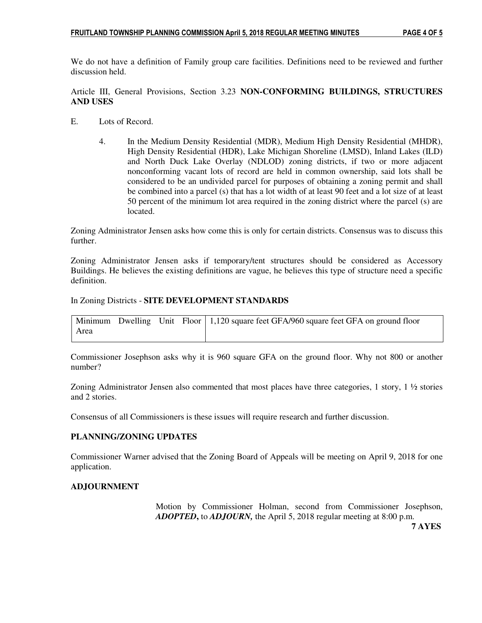We do not have a definition of Family group care facilities. Definitions need to be reviewed and further discussion held.

## Article III, General Provisions, Section 3.23 **NON-CONFORMING BUILDINGS, STRUCTURES AND USES**

- E. Lots of Record.
	- 4. In the Medium Density Residential (MDR), Medium High Density Residential (MHDR), High Density Residential (HDR), Lake Michigan Shoreline (LMSD), Inland Lakes (ILD) and North Duck Lake Overlay (NDLOD) zoning districts, if two or more adjacent nonconforming vacant lots of record are held in common ownership, said lots shall be considered to be an undivided parcel for purposes of obtaining a zoning permit and shall be combined into a parcel (s) that has a lot width of at least 90 feet and a lot size of at least 50 percent of the minimum lot area required in the zoning district where the parcel (s) are located.

Zoning Administrator Jensen asks how come this is only for certain districts. Consensus was to discuss this further.

Zoning Administrator Jensen asks if temporary/tent structures should be considered as Accessory Buildings. He believes the existing definitions are vague, he believes this type of structure need a specific definition.

### In Zoning Districts - **SITE DEVELOPMENT STANDARDS**

|      |  | Minimum Dwelling Unit Floor   1,120 square feet GFA/960 square feet GFA on ground floor |
|------|--|-----------------------------------------------------------------------------------------|
| Area |  |                                                                                         |

Commissioner Josephson asks why it is 960 square GFA on the ground floor. Why not 800 or another number?

Zoning Administrator Jensen also commented that most places have three categories,  $1 \text{ story}, \frac{1}{2}$  stories and 2 stories.

Consensus of all Commissioners is these issues will require research and further discussion.

## **PLANNING/ZONING UPDATES**

Commissioner Warner advised that the Zoning Board of Appeals will be meeting on April 9, 2018 for one application.

## **ADJOURNMENT**

Motion by Commissioner Holman, second from Commissioner Josephson, *ADOPTED***,** to *ADJOURN,* the April 5, 2018 regular meeting at 8:00 p.m.

 **7 AYES**